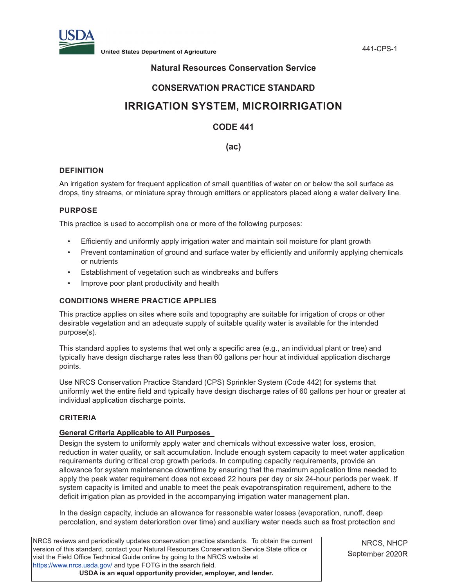

**United States Department of Agriculture** 441-CPS-1

## **Natural Resources Conservation Service**

## **CONSERVATION PRACTICE STANDARD**

# **IRRIGATION SYSTEM, MICROIRRIGATION**

## **CODE 441**

## **(ac)**

## **DEFINITION**

An irrigation system for frequent application of small quantities of water on or below the soil surface as drops, tiny streams, or miniature spray through emitters or applicators placed along a water delivery line.

## **PURPOSE**

This practice is used to accomplish one or more of the following purposes:

- Efficiently and uniformly apply irrigation water and maintain soil moisture for plant growth
- Prevent contamination of ground and surface water by efficiently and uniformly applying chemicals or nutrients
- Establishment of vegetation such as windbreaks and buffers
- Improve poor plant productivity and health

## **CONDITIONS WHERE PRACTICE APPLIES**

This practice applies on sites where soils and topography are suitable for irrigation of crops or other desirable vegetation and an adequate supply of suitable quality water is available for the intended purpose(s).

This standard applies to systems that wet only a specific area (e.g., an individual plant or tree) and typically have design discharge rates less than 60 gallons per hour at individual application discharge points.

Use NRCS Conservation Practice Standard (CPS) Sprinkler System (Code 442) for systems that uniformly wet the entire field and typically have design discharge rates of 60 gallons per hour or greater at individual application discharge points.

## **CRITERIA**

## **General Criteria Applicable to All Purposes**

Design the system to uniformly apply water and chemicals without excessive water loss, erosion, reduction in water quality, or salt accumulation. Include enough system capacity to meet water application requirements during critical crop growth periods. In computing capacity requirements, provide an allowance for system maintenance downtime by ensuring that the maximum application time needed to apply the peak water requirement does not exceed 22 hours per day or six 24-hour periods per week. If system capacity is limited and unable to meet the peak evapotranspiration requirement, adhere to the deficit irrigation plan as provided in the accompanying irrigation water management plan.

In the design capacity, include an allowance for reasonable water losses (evaporation, runoff, deep percolation, and system deterioration over time) and auxiliary water needs such as frost protection and

| NRCS reviews and periodically updates conservation practice standards. To obtain the current  |
|-----------------------------------------------------------------------------------------------|
| version of this standard, contact your Natural Resources Conservation Service State office or |
| visit the Field Office Technical Guide online by going to the NRCS website at                 |
| https://www.nrcs.usda.gov/ and type FOTG in the search field.                                 |
| USDA is an equal opportunity provider, employer, and lender.                                  |

NRCS, NHCP September 2020R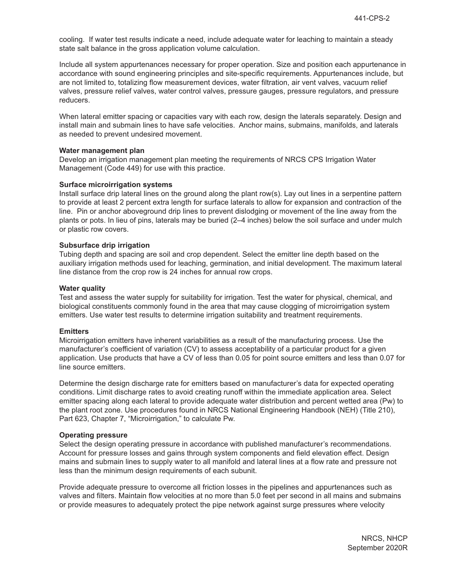cooling. If water test results indicate a need, include adequate water for leaching to maintain a steady state salt balance in the gross application volume calculation.

Include all system appurtenances necessary for proper operation. Size and position each appurtenance in accordance with sound engineering principles and site-specific requirements. Appurtenances include, but are not limited to, totalizing flow measurement devices, water filtration, air vent valves, vacuum relief valves, pressure relief valves, water control valves, pressure gauges, pressure regulators, and pressure reducers.

When lateral emitter spacing or capacities vary with each row, design the laterals separately. Design and install main and submain lines to have safe velocities. Anchor mains, submains, manifolds, and laterals as needed to prevent undesired movement.

#### **Water management plan**

Develop an irrigation management plan meeting the requirements of NRCS CPS Irrigation Water Management (Code 449) for use with this practice.

#### **Surface microirrigation systems**

Install surface drip lateral lines on the ground along the plant row(s). Lay out lines in a serpentine pattern to provide at least 2 percent extra length for surface laterals to allow for expansion and contraction of the line. Pin or anchor aboveground drip lines to prevent dislodging or movement of the line away from the plants or pots. In lieu of pins, laterals may be buried (2–4 inches) below the soil surface and under mulch or plastic row covers.

#### **Subsurface drip irrigation**

Tubing depth and spacing are soil and crop dependent. Select the emitter line depth based on the auxiliary irrigation methods used for leaching, germination, and initial development. The maximum lateral line distance from the crop row is 24 inches for annual row crops.

#### **Water quality**

Test and assess the water supply for suitability for irrigation. Test the water for physical, chemical, and biological constituents commonly found in the area that may cause clogging of microirrigation system emitters. Use water test results to determine irrigation suitability and treatment requirements.

### **Emitters**

Microirrigation emitters have inherent variabilities as a result of the manufacturing process. Use the manufacturer's coefficient of variation (CV) to assess acceptability of a particular product for a given application. Use products that have a CV of less than 0.05 for point source emitters and less than 0.07 for line source emitters.

Determine the design discharge rate for emitters based on manufacturer's data for expected operating conditions. Limit discharge rates to avoid creating runoff within the immediate application area. Select emitter spacing along each lateral to provide adequate water distribution and percent wetted area (Pw) to the plant root zone. Use procedures found in NRCS National Engineering Handbook (NEH) (Title 210), Part 623, Chapter 7, "Microirrigation," to calculate Pw.

#### **Operating pressure**

Select the design operating pressure in accordance with published manufacturer's recommendations. Account for pressure losses and gains through system components and field elevation effect. Design mains and submain lines to supply water to all manifold and lateral lines at a flow rate and pressure not less than the minimum design requirements of each subunit.

Provide adequate pressure to overcome all friction losses in the pipelines and appurtenances such as valves and filters. Maintain flow velocities at no more than 5.0 feet per second in all mains and submains or provide measures to adequately protect the pipe network against surge pressures where velocity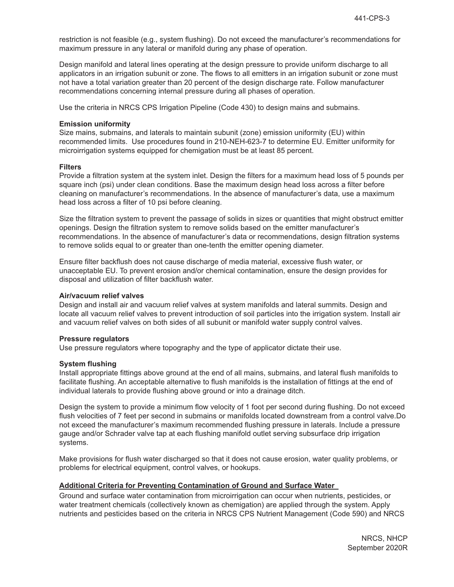restriction is not feasible (e.g., system flushing). Do not exceed the manufacturer's recommendations for maximum pressure in any lateral or manifold during any phase of operation.

Design manifold and lateral lines operating at the design pressure to provide uniform discharge to all applicators in an irrigation subunit or zone. The flows to all emitters in an irrigation subunit or zone must not have a total variation greater than 20 percent of the design discharge rate. Follow manufacturer recommendations concerning internal pressure during all phases of operation.

Use the criteria in NRCS CPS Irrigation Pipeline (Code 430) to design mains and submains.

#### **Emission uniformity**

Size mains, submains, and laterals to maintain subunit (zone) emission uniformity (EU) within recommended limits. Use procedures found in 210-NEH-623-7 to determine EU. Emitter uniformity for microirrigation systems equipped for chemigation must be at least 85 percent.

#### **Filters**

Provide a filtration system at the system inlet. Design the filters for a maximum head loss of 5 pounds per square inch (psi) under clean conditions. Base the maximum design head loss across a filter before cleaning on manufacturer's recommendations. In the absence of manufacturer's data, use a maximum head loss across a filter of 10 psi before cleaning.

Size the filtration system to prevent the passage of solids in sizes or quantities that might obstruct emitter openings. Design the filtration system to remove solids based on the emitter manufacturer's recommendations. In the absence of manufacturer's data or recommendations, design filtration systems to remove solids equal to or greater than one-tenth the emitter opening diameter.

Ensure filter backflush does not cause discharge of media material, excessive flush water, or unacceptable EU. To prevent erosion and/or chemical contamination, ensure the design provides for disposal and utilization of filter backflush water.

#### **Air/vacuum relief valves**

Design and install air and vacuum relief valves at system manifolds and lateral summits. Design and locate all vacuum relief valves to prevent introduction of soil particles into the irrigation system. Install air and vacuum relief valves on both sides of all subunit or manifold water supply control valves.

#### **Pressure regulators**

Use pressure regulators where topography and the type of applicator dictate their use.

### **System flushing**

Install appropriate fittings above ground at the end of all mains, submains, and lateral flush manifolds to facilitate flushing. An acceptable alternative to flush manifolds is the installation of fittings at the end of individual laterals to provide flushing above ground or into a drainage ditch.

Design the system to provide a minimum flow velocity of 1 foot per second during flushing. Do not exceed flush velocities of 7 feet per second in submains or manifolds located downstream from a control valve.Do not exceed the manufacturer's maximum recommended flushing pressure in laterals. Include a pressure gauge and/or Schrader valve tap at each flushing manifold outlet serving subsurface drip irrigation systems.

Make provisions for flush water discharged so that it does not cause erosion, water quality problems, or problems for electrical equipment, control valves, or hookups.

## **Additional Criteria for Preventing Contamination of Ground and Surface Water**

Ground and surface water contamination from microirrigation can occur when nutrients, pesticides, or water treatment chemicals (collectively known as chemigation) are applied through the system. Apply nutrients and pesticides based on the criteria in NRCS CPS Nutrient Management (Code 590) and NRCS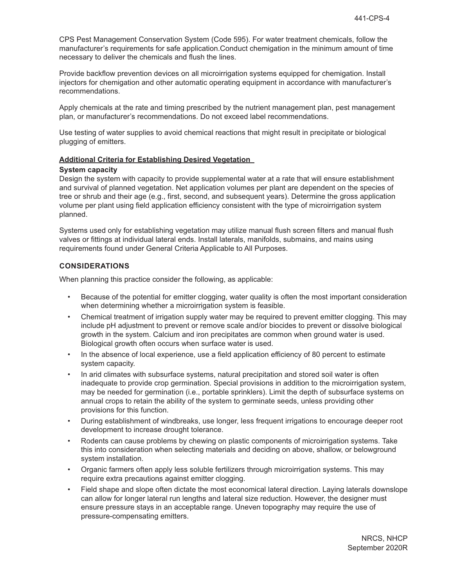CPS Pest Management Conservation System (Code 595). For water treatment chemicals, follow the manufacturer's requirements for safe application.Conduct chemigation in the minimum amount of time necessary to deliver the chemicals and flush the lines.

Provide backflow prevention devices on all microirrigation systems equipped for chemigation. Install injectors for chemigation and other automatic operating equipment in accordance with manufacturer's recommendations.

Apply chemicals at the rate and timing prescribed by the nutrient management plan, pest management plan, or manufacturer's recommendations. Do not exceed label recommendations.

Use testing of water supplies to avoid chemical reactions that might result in precipitate or biological plugging of emitters.

#### **Additional Criteria for Establishing Desired Vegetation**

#### **System capacity**

Design the system with capacity to provide supplemental water at a rate that will ensure establishment and survival of planned vegetation. Net application volumes per plant are dependent on the species of tree or shrub and their age (e.g., first, second, and subsequent years). Determine the gross application volume per plant using field application efficiency consistent with the type of microirrigation system planned.

Systems used only for establishing vegetation may utilize manual flush screen filters and manual flush valves or fittings at individual lateral ends. Install laterals, manifolds, submains, and mains using requirements found under General Criteria Applicable to All Purposes.

### **CONSIDERATIONS**

When planning this practice consider the following, as applicable:

- Because of the potential for emitter clogging, water quality is often the most important consideration when determining whether a microirrigation system is feasible.
- Chemical treatment of irrigation supply water may be required to prevent emitter clogging. This may include pH adjustment to prevent or remove scale and/or biocides to prevent or dissolve biological growth in the system. Calcium and iron precipitates are common when ground water is used. Biological growth often occurs when surface water is used.
- In the absence of local experience, use a field application efficiency of 80 percent to estimate system capacity.
- In arid climates with subsurface systems, natural precipitation and stored soil water is often inadequate to provide crop germination. Special provisions in addition to the microirrigation system, may be needed for germination (i.e., portable sprinklers). Limit the depth of subsurface systems on annual crops to retain the ability of the system to germinate seeds, unless providing other provisions for this function.
- During establishment of windbreaks, use longer, less frequent irrigations to encourage deeper root development to increase drought tolerance.
- Rodents can cause problems by chewing on plastic components of microirrigation systems. Take this into consideration when selecting materials and deciding on above, shallow, or belowground system installation.
- Organic farmers often apply less soluble fertilizers through microirrigation systems. This may require extra precautions against emitter clogging.
- Field shape and slope often dictate the most economical lateral direction. Laying laterals downslope can allow for longer lateral run lengths and lateral size reduction. However, the designer must ensure pressure stays in an acceptable range. Uneven topography may require the use of pressure-compensating emitters.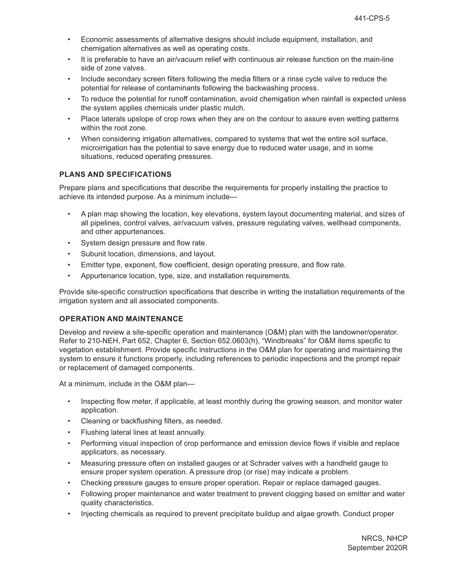- Economic assessments of alternative designs should include equipment, installation, and chemigation alternatives as well as operating costs.
- It is preferable to have an air/vacuum relief with continuous air release function on the main-line side of zone valves.
- Include secondary screen filters following the media filters or a rinse cycle valve to reduce the potential for release of contaminants following the backwashing process.
- To reduce the potential for runoff contamination, avoid chemigation when rainfall is expected unless the system applies chemicals under plastic mulch.
- Place laterals upslope of crop rows when they are on the contour to assure even wetting patterns within the root zone.
- When considering irrigation alternatives, compared to systems that wet the entire soil surface, microirrigation has the potential to save energy due to reduced water usage, and in some situations, reduced operating pressures.

## **PLANS AND SPECIFICATIONS**

Prepare plans and specifications that describe the requirements for properly installing the practice to achieve its intended purpose. As a minimum include—

- A plan map showing the location, key elevations, system layout documenting material, and sizes of all pipelines, control valves, air/vacuum valves, pressure regulating valves, wellhead components, and other appurtenances.
- System design pressure and flow rate.
- Subunit location, dimensions, and layout.
- Emitter type, exponent, flow coefficient, design operating pressure, and flow rate.
- Appurtenance location, type, size, and installation requirements.

Provide site-specific construction specifications that describe in writing the installation requirements of the irrigation system and all associated components.

## **OPERATION AND MAINTENANCE**

Develop and review a site-specific operation and maintenance (O&M) plan with the landowner/operator. Refer to 210-NEH, Part 652, Chapter 6, Section 652.0603(h), "Windbreaks" for O&M items specific to vegetation establishment. Provide specific instructions in the O&M plan for operating and maintaining the system to ensure it functions properly, including references to periodic inspections and the prompt repair or replacement of damaged components.

At a minimum, include in the O&M plan—

- Inspecting flow meter, if applicable, at least monthly during the growing season, and monitor water application.
- Cleaning or backflushing filters, as needed.
- Flushing lateral lines at least annually.
- Performing visual inspection of crop performance and emission device flows if visible and replace applicators, as necessary.
- Measuring pressure often on installed gauges or at Schrader valves with a handheld gauge to ensure proper system operation. A pressure drop (or rise) may indicate a problem.
- Checking pressure gauges to ensure proper operation. Repair or replace damaged gauges.
- Following proper maintenance and water treatment to prevent clogging based on emitter and water quality characteristics.
- Injecting chemicals as required to prevent precipitate buildup and algae growth. Conduct proper